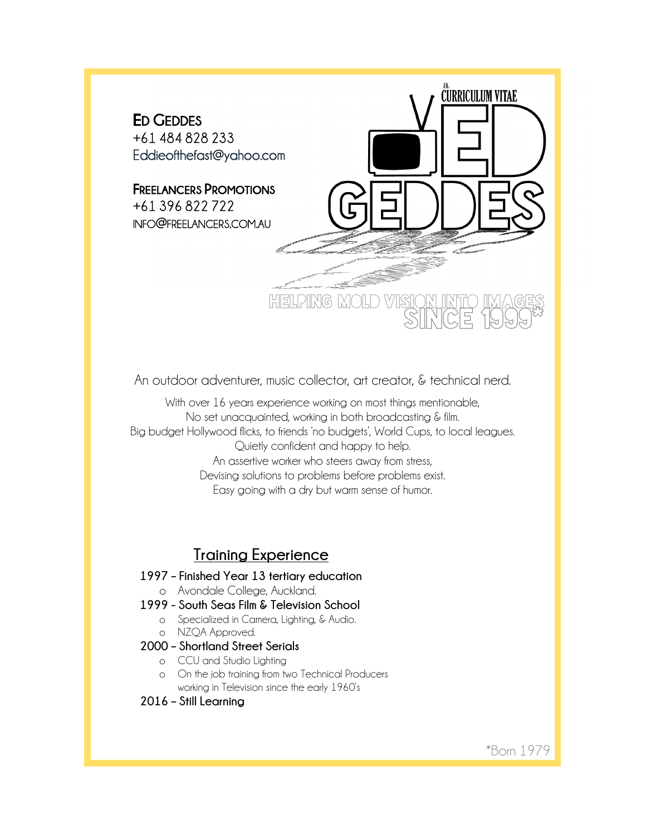

An outdoor adventurer, music collector, art creator, & technical nerd.

With over 16 years experience working on most things mentionable, No set unacquainted, working in both broadcasting & film. Big budget Hollywood flicks, to friends 'no budgets', World Cups, to local leagues. Quietly confident and happy to help. An assertive worker who steers away from stress, Devising solutions to problems before problems exist. Easy going with a dry but warm sense of humor.

# **Training Experience**

- **1997 – Finished Year 13 tertiary education** o Avondale College, Auckland.
- **1999 - South Seas Film & Television School**
	- o Specialized in Camera, Lighting, & Audio.
		- o NZQA Approved.
- **2000 – Shortland Street Serials**
	- o CCU and Studio Lighting
	- o On the job training from two Technical Producers working in Television since the early 1960's
- **2016 – Still Learning**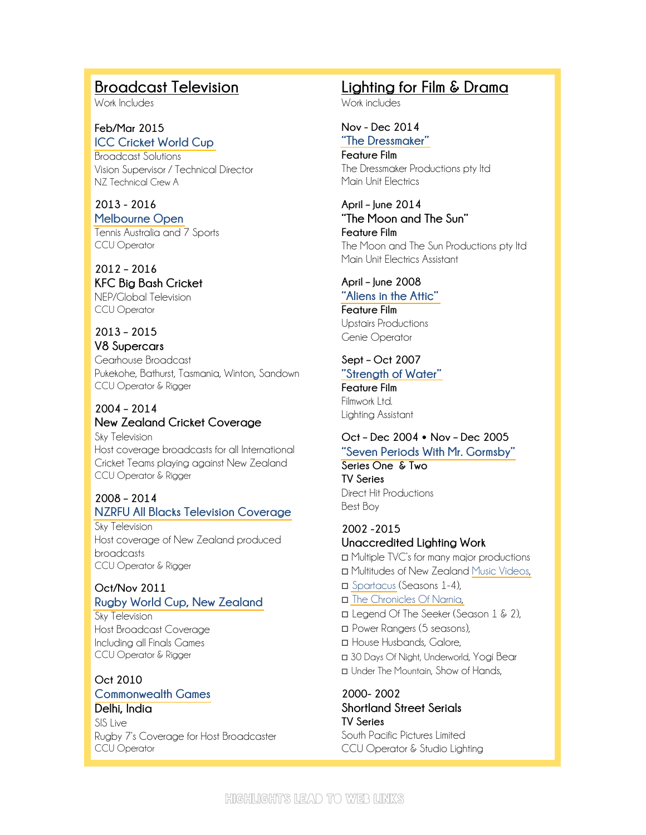# **Broadcast Television**

Work Includes

**Feb/Mar 2015 [ICC Cricket World Cup](http://www.icc-cricket.com/cricket-world-cup/videos/media/id/4078/match-highlights-aus-vs-nz)** Broadcast Solutions

Vision Supervisor / Technical Director NZ Technical Crew A

**2013 - 2016 [Melbourne Open](https://youtu.be/SNH2USxo7uY)** Tennis Australia and 7 Sports

CCU Operator

**2012 – 2016 KFC Big Bash Cricket** NEP/Global Television

CCU Operator

**2013 – 2015 V8 Supercars** Gearhouse Broadcast Pukekohe, Bathurst, Tasmania, Winton, Sandown CCU Operator & Rigger

**2004 – 2014 New Zealand Cricket Coverage** Sky Television Host coverage broadcasts for all International Cricket Teams playing against New Zealand CCU Operator & Rigger

## **2008 – 2014 [NZRFU All Blacks Television Coverage](https://youtu.be/1MO6-odSdrM)**

Sky Television Host coverage of New Zealand produced broadcasts CCU Operator & Rigger

## **Oct/Nov 2011 [Rugby World Cup, New Zealand](https://youtu.be/bPaWMjVXbus)**

Sky Television Host Broadcast Coverage Including all Finals Games CCU Operator & Rigger

**Oct 2010 [Commonwealth Games](https://youtu.be/TX2LKsTi8R8) Delhi, India** SIS Live

Rugby 7's Coverage for Host Broadcaster CCU Operator

# **Lighting for Film & Drama**

Work includes

#### **Nov - Dec 2014 ["The Dressmaker"](https://youtu.be/uPCyjqGH914)**

**Feature Film** The Dressmaker Productions pty ltd Main Unit Electrics

**April – June 2014 "The Moon and The Sun" Feature Film** The Moon and The Sun Productions pty ltd Main Unit Electrics Assistant

**April – June 2008**

**["Aliens in the Attic"](https://youtu.be/uMClhY3oyx4) Feature Film** Upstairs Productions Genie Operator

### **Sept – Oct 2007 ["Strength of Water"](https://youtu.be/1-n748hplH0)**

**Feature Film** Filmwork Ltd. Lighting Assistant

**Oct – Dec 2004 Nov – Dec 2005 ["Seven Periods With Mr. Gormsby"](http://www.nzonscreen.com/title/seven-periods-with-mr-gormsby-2005-211/series) Series One & Two**

**TV Series** Direct Hit Productions Best Boy

**2002 -2015 Unaccredited Lighting Work** ◻ Multiple TVC's for many major productions ◻ Multitudes of New Zealand [Music Videos,](http://www.nzonscreen.com/title/not-many-remix-2004) ◻ [Spartacus](https://youtu.be/tNdutDDCUQU) (Seasons 1-4), ◻ [The Chronicles Of Narnia,](https://youtu.be/oVEnJPXAibE) ◻ Legend Of The Seeker (Season 1 & 2), ◻ Power Rangers (5 seasons), ◻ House Husbands, Galore, ◻ 30 Days Of Night, Underworld, Yogi Bear ◻ Under The Mountain, Show of Hands,

**2000- 2002 Shortland Street Serials TV Series** South Pacific Pictures Limited CCU Operator & Studio Lighting